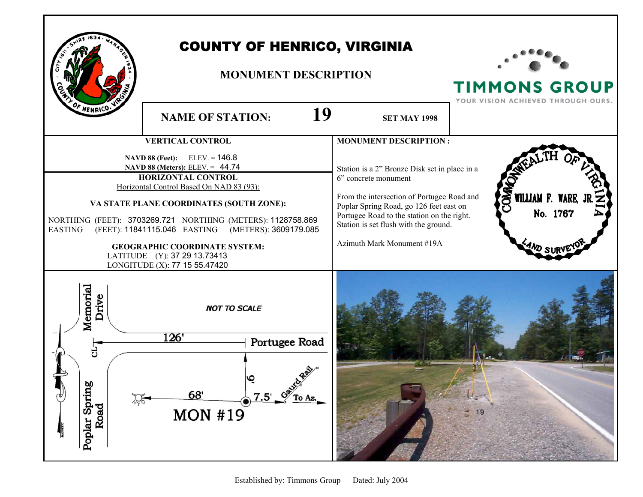